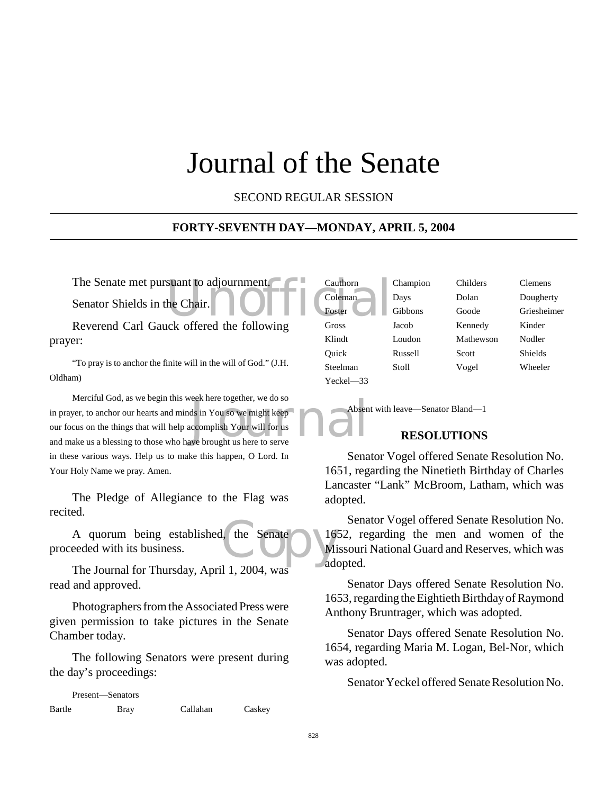# Journal of the Senate

SECOND REGULAR SESSION

#### **FORTY-SEVENTH DAY—MONDAY, APRIL 5, 2004**

Senator Shields in the Chair.

Reverend Carl Gauck offered the following prayer:

"To pray is to anchor the finite will in the will of God." (J.H. Oldham)

Note there together, we do so<br>ds in You so we might keep<br>ecomplish Your will for us<br>we brought us here to serve Merciful God, as we begin this week here together, we do so in prayer, to anchor our hearts and minds in You so we might keep our focus on the things that will help accomplish Your will for us and make us a blessing to those who have brought us here to serve in these various ways. Help us to make this happen, O Lord. In Your Holy Name we pray. Amen.

The Pledge of Allegiance to the Flag was recited.

I, the Senate 16. A quorum being established, the Senate proceeded with its business.

The Journal for Thursday, April 1, 2004, was read and approved.

Photographers from the Associated Press were given permission to take pictures in the Senate Chamber today.

The following Senators were present during the day's proceedings:

Present—Senators Bartle Bray Callahan Caskey

The Senate met pursuant to adjournment.<br>
Senator Shields in the Chair.<br>
Peyerand Carl Gauck offered the following. Gross Cauthorn Champion Childers Clemens Yeckel—33

Coleman Days Dolan Dougherty Foster Gibbons Goode Griesheimer Gross Jacob Kennedy Kinder Klindt Loudon Mathewson Nodler Quick Russell Scott Shields Steelman Stoll Vogel Wheeler

Absent with leave—Senator Bland—1

#### **RESOLUTIONS**

Senator Vogel offered Senate Resolution No. 1651, regarding the Ninetieth Birthday of Charles Lancaster "Lank" McBroom, Latham, which was adopted.

Senator Vogel offered Senate Resolution No. 1652, regarding the men and women of the Missouri National Guard and Reserves, which was adopted.

Senator Days offered Senate Resolution No. 1653, regarding the Eightieth Birthday of Raymond Anthony Bruntrager, which was adopted.

Senator Days offered Senate Resolution No. 1654, regarding Maria M. Logan, Bel-Nor, which was adopted.

Senator Yeckel offered Senate Resolution No.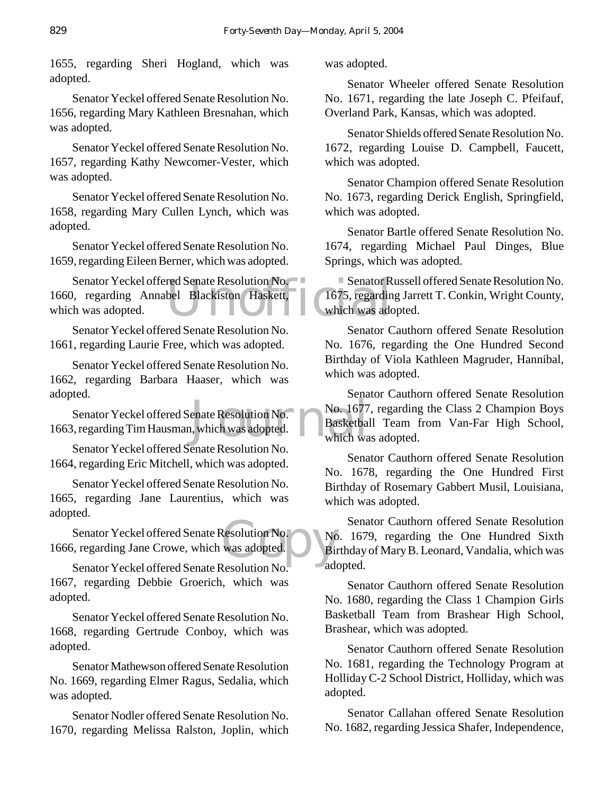1655, regarding Sheri Hogland, which was adopted.

Senator Yeckel offered Senate Resolution No. 1656, regarding Mary Kathleen Bresnahan, which was adopted.

Senator Yeckel offered Senate Resolution No. 1657, regarding Kathy Newcomer-Vester, which was adopted.

Senator Yeckel offered Senate Resolution No. 1658, regarding Mary Cullen Lynch, which was adopted.

Senator Yeckel offered Senate Resolution No. 1659, regarding Eileen Berner, which was adopted.

red Senate Resolution No.<br>bel Blackiston Haskett, 1675, regardin<br>which was add Senator Yeckel offered Senate Resolution No. 1660, regarding Annabel Blackiston Haskett, which was adopted.

Senator Yeckel offered Senate Resolution No. 1661, regarding Laurie Free, which was adopted.

Senator Yeckel offered Senate Resolution No. 1662, regarding Barbara Haaser, which was adopted.

enate Resolution No.<br>1677<br>1, which was adopted.<br>1990 which was which was adopted. Senator Yeckel offered Senate Resolution No. 1663, regarding Tim Hausman, which was adopted.

Senator Yeckel offered Senate Resolution No. 1664, regarding Eric Mitchell, which was adopted.

Senator Yeckel offered Senate Resolution No. 1665, regarding Jane Laurentius, which was adopted.

Resolution No.<br>
was adopted. Bin Senator Yeckel offered Senate Resolution No. 1666, regarding Jane Crowe, which was adopted.

Senator Yeckel offered Senate Resolution No. 1667, regarding Debbie Groerich, which was adopted.

Senator Yeckel offered Senate Resolution No. 1668, regarding Gertrude Conboy, which was adopted.

Senator Mathewson offered Senate Resolution No. 1669, regarding Elmer Ragus, Sedalia, which was adopted.

Senator Nodler offered Senate Resolution No. 1670, regarding Melissa Ralston, Joplin, which was adopted.

Senator Wheeler offered Senate Resolution No. 1671, regarding the late Joseph C. Pfeifauf, Overland Park, Kansas, which was adopted.

Senator Shields offered Senate Resolution No. 1672, regarding Louise D. Campbell, Faucett, which was adopted.

Senator Champion offered Senate Resolution No. 1673, regarding Derick English, Springfield, which was adopted.

Senator Bartle offered Senate Resolution No. 1674, regarding Michael Paul Dinges, Blue Springs, which was adopted.

Senator Russell offered Senate Resolution No. 1675, regarding Jarrett T. Conkin, Wright County, which was adopted.

Senator Cauthorn offered Senate Resolution No. 1676, regarding the One Hundred Second Birthday of Viola Kathleen Magruder, Hannibal, which was adopted.

Senator Cauthorn offered Senate Resolution No. 1677, regarding the Class 2 Champion Boys Basketball Team from Van-Far High School, which was adopted.

Senator Cauthorn offered Senate Resolution No. 1678, regarding the One Hundred First Birthday of Rosemary Gabbert Musil, Louisiana, which was adopted.

Senator Cauthorn offered Senate Resolution No. 1679, regarding the One Hundred Sixth Birthday of Mary B. Leonard, Vandalia, which was adopted.

Senator Cauthorn offered Senate Resolution No. 1680, regarding the Class 1 Champion Girls Basketball Team from Brashear High School, Brashear, which was adopted.

Senator Cauthorn offered Senate Resolution No. 1681, regarding the Technology Program at Holliday C-2 School District, Holliday, which was adopted.

Senator Callahan offered Senate Resolution No. 1682, regarding Jessica Shafer, Independence,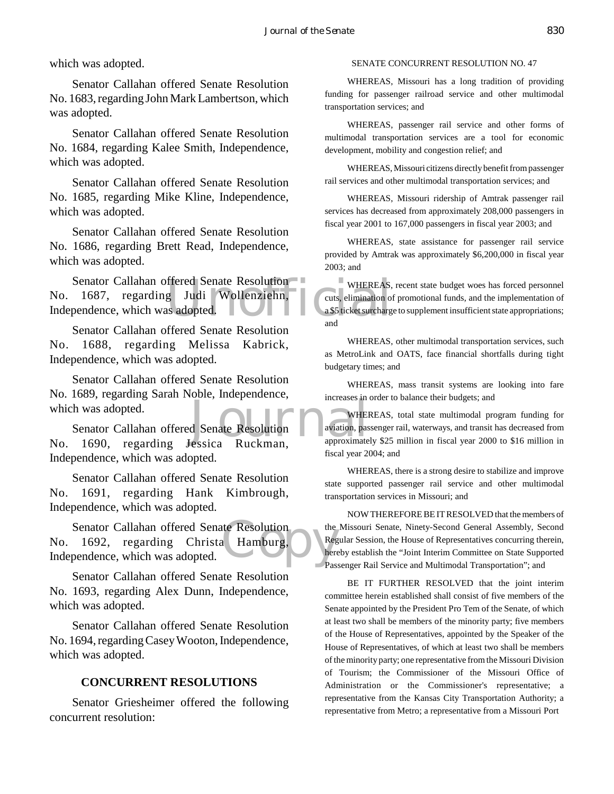which was adopted.

Senator Callahan offered Senate Resolution No. 1683, regarding John Mark Lambertson, which was adopted.

Senator Callahan offered Senate Resolution No. 1684, regarding Kalee Smith, Independence, which was adopted.

Senator Callahan offered Senate Resolution No. 1685, regarding Mike Kline, Independence, which was adopted.

Senator Callahan offered Senate Resolution No. 1686, regarding Brett Read, Independence, which was adopted.

Senator Callahan offered Senate Resolution<br>
1687, regarding Judi Wollenziehn, cuts, elimination of<br>
pendence, which was adopted. No. 1687, regarding Judi Wollenziehn, Independence, which was adopted.

Senator Callahan offered Senate Resolution No. 1688, regarding Melissa Kabrick, Independence, which was adopted.

Senator Callahan offered Senate Resolution No. 1689, regarding Sarah Noble, Independence, which was adopted.

MERICA SERIES AND SERIES METALLIC METALLIC METALLIC METALLIC METALLIC METALLIC METALLIC METALLIC METALLIC METALLIC METALLIC METALLIC METALLIC METALLIC METALLIC METALLIC METALLIC METALLIC METALLIC METALLIC METALLIC METALLIC Senator Callahan offered Senate Resolution No. 1690, regarding Jessica Ruckman, Independence, which was adopted.

Senator Callahan offered Senate Resolution No. 1691, regarding Hank Kimbrough, Independence, which was adopted.

a Hamburg, Senator Callahan offered Senate Resolution No. 1692, regarding Christa Hamburg, Independence, which was adopted.

Senator Callahan offered Senate Resolution No. 1693, regarding Alex Dunn, Independence, which was adopted.

Senator Callahan offered Senate Resolution No. 1694, regarding Casey Wooton, Independence, which was adopted.

#### **CONCURRENT RESOLUTIONS**

Senator Griesheimer offered the following concurrent resolution:

#### SENATE CONCURRENT RESOLUTION NO. 47

WHEREAS, Missouri has a long tradition of providing funding for passenger railroad service and other multimodal transportation services; and

WHEREAS, passenger rail service and other forms of multimodal transportation services are a tool for economic development, mobility and congestion relief; and

WHEREAS, Missouri citizens directly benefit from passenger rail services and other multimodal transportation services; and

WHEREAS, Missouri ridership of Amtrak passenger rail services has decreased from approximately 208,000 passengers in fiscal year 2001 to 167,000 passengers in fiscal year 2003; and

WHEREAS, state assistance for passenger rail service provided by Amtrak was approximately \$6,200,000 in fiscal year 2003; and

WHEREAS, recent state budget woes has forced personnel cuts, elimination of promotional funds, and the implementation of a \$5 ticket surcharge to supplement insufficient state appropriations; and

WHEREAS, other multimodal transportation services, such as MetroLink and OATS, face financial shortfalls during tight budgetary times; and

WHEREAS, mass transit systems are looking into fare increases in order to balance their budgets; and

WHEREAS, total state multimodal program funding for aviation, passenger rail, waterways, and transit has decreased from approximately \$25 million in fiscal year 2000 to \$16 million in fiscal year 2004; and

WHEREAS, there is a strong desire to stabilize and improve state supported passenger rail service and other multimodal transportation services in Missouri; and

NOW THEREFORE BE IT RESOLVED that the members of the Missouri Senate, Ninety-Second General Assembly, Second Regular Session, the House of Representatives concurring therein, hereby establish the "Joint Interim Committee on State Supported Passenger Rail Service and Multimodal Transportation"; and

BE IT FURTHER RESOLVED that the joint interim committee herein established shall consist of five members of the Senate appointed by the President Pro Tem of the Senate, of which at least two shall be members of the minority party; five members of the House of Representatives, appointed by the Speaker of the House of Representatives, of which at least two shall be members of the minority party; one representative from the Missouri Division of Tourism; the Commissioner of the Missouri Office of Administration or the Commissioner's representative; a representative from the Kansas City Transportation Authority; a representative from Metro; a representative from a Missouri Port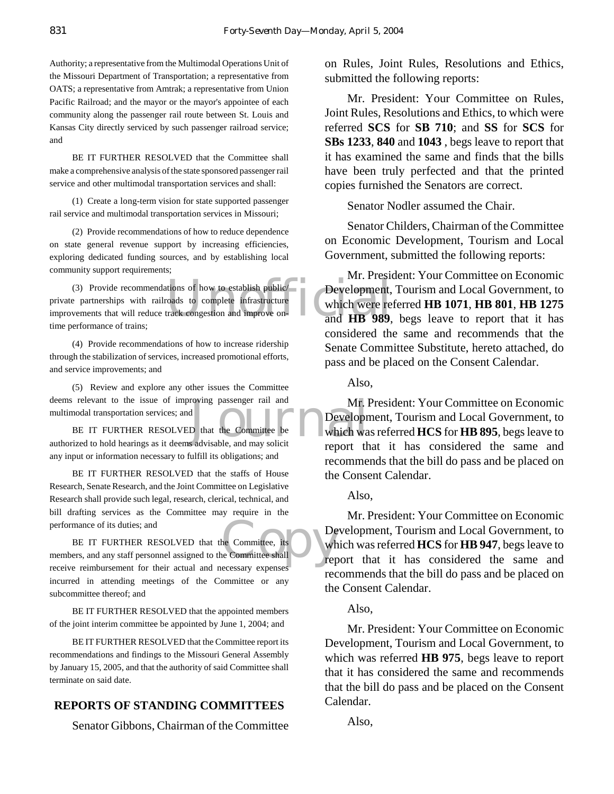Authority; a representative from the Multimodal Operations Unit of the Missouri Department of Transportation; a representative from OATS; a representative from Amtrak; a representative from Union Pacific Railroad; and the mayor or the mayor's appointee of each community along the passenger rail route between St. Louis and Kansas City directly serviced by such passenger railroad service; and

BE IT FURTHER RESOLVED that the Committee shall make a comprehensive analysis of the state sponsored passenger rail service and other multimodal transportation services and shall:

(1) Create a long-term vision for state supported passenger rail service and multimodal transportation services in Missouri;

(2) Provide recommendations of how to reduce dependence on state general revenue support by increasing efficiencies, exploring dedicated funding sources, and by establishing local community support requirements;

The complete the stablish public track complete infrastructure<br>track congestion and improve on-<br>and **HB** 989, (3) Provide recommendations of how to establish public/ private partnerships with railroads to complete infrastructure improvements that will reduce track congestion and improve ontime performance of trains;

(4) Provide recommendations of how to increase ridership through the stabilization of services, increased promotional efforts, and service improvements; and

(5) Review and explore any other issues the Committee deems relevant to the issue of improving passenger rail and multimodal transportation services; and

BE IT FURTHER RESOLVED that the Committee be authorized to hold hearings as it deems advisable, and may solicit any input or information necessary to fulfill its obligations; and

BE IT FURTHER RESOLVED that the staffs of House Research, Senate Research, and the Joint Committee on Legislative Research shall provide such legal, research, clerical, technical, and bill drafting services as the Committee may require in the performance of its duties; and

De BE IT FURTHER RESOLVED that the Committee, its members, and any staff personnel assigned to the Committee shall receive reimbursement for their actual and necessary expenses incurred in attending meetings of the Committee or any subcommittee thereof; and

BE IT FURTHER RESOLVED that the appointed members of the joint interim committee be appointed by June 1, 2004; and

BE IT FURTHER RESOLVED that the Committee report its recommendations and findings to the Missouri General Assembly by January 15, 2005, and that the authority of said Committee shall terminate on said date.

#### **REPORTS OF STANDING COMMITTEES**

Senator Gibbons, Chairman of the Committee

on Rules, Joint Rules, Resolutions and Ethics, submitted the following reports:

Mr. President: Your Committee on Rules, Joint Rules, Resolutions and Ethics, to which were referred **SCS** for **SB 710**; and **SS** for **SCS** for **SBs 1233**, **840** and **1043** , begs leave to report that it has examined the same and finds that the bills have been truly perfected and that the printed copies furnished the Senators are correct.

Senator Nodler assumed the Chair.

Senator Childers, Chairman of the Committee on Economic Development, Tourism and Local Government, submitted the following reports:

Mr. President: Your Committee on Economic Development, Tourism and Local Government, to which were referred **HB 1071**, **HB 801**, **HB 1275** and **HB 989**, begs leave to report that it has considered the same and recommends that the Senate Committee Substitute, hereto attached, do pass and be placed on the Consent Calendar.

Also,

The passenger rail and Mr. I<br>
D that the Committee be a proper which was advisable, and may solicit Mr. President: Your Committee on Economic Development, Tourism and Local Government, to which was referred **HCS** for **HB 895**, begs leave to report that it has considered the same and recommends that the bill do pass and be placed on the Consent Calendar.

#### Also,

Mr. President: Your Committee on Economic Development, Tourism and Local Government, to which was referred **HCS** for **HB 947**, begs leave to report that it has considered the same and recommends that the bill do pass and be placed on the Consent Calendar.

#### Also,

Mr. President: Your Committee on Economic Development, Tourism and Local Government, to which was referred **HB 975**, begs leave to report that it has considered the same and recommends that the bill do pass and be placed on the Consent Calendar.

Also,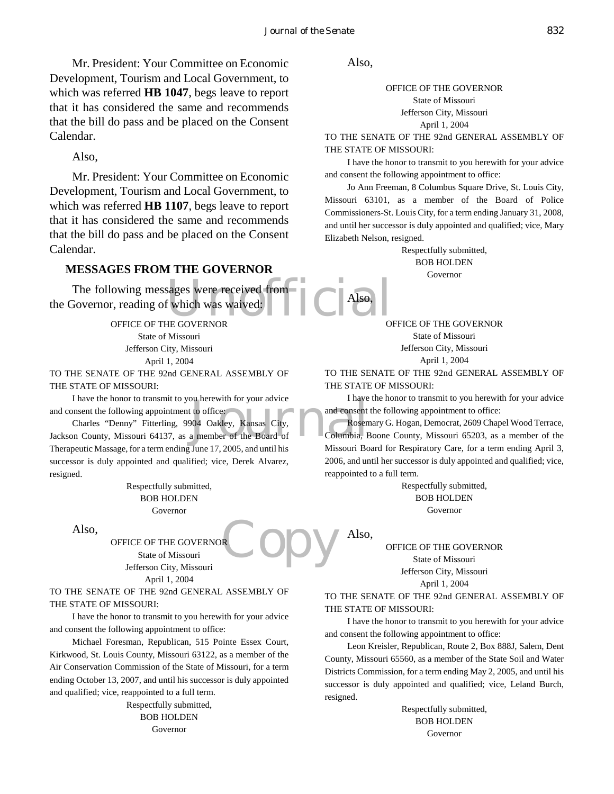Mr. President: Your Committee on Economic Development, Tourism and Local Government, to which was referred **HB 1047**, begs leave to report that it has considered the same and recommends that the bill do pass and be placed on the Consent Calendar.

Also,

Mr. President: Your Committee on Economic Development, Tourism and Local Government, to which was referred **HB 1107**, begs leave to report that it has considered the same and recommends that the bill do pass and be placed on the Consent Calendar.

#### **MESSAGES FROM THE GOVERNOR**

The following messages were received from<br>
The following of which was waived:<br>
OFFICE OF THE GOVERNOR the Governor, reading of which was waived:

OFFICE OF THE GOVERNOR State of Missouri Jefferson City, Missouri April 1, 2004

TO THE SENATE OF THE 92nd GENERAL ASSEMBLY OF THE STATE OF MISSOURI:

I have the honor to transmit to you herewith for your advice and consent the following appointment to office:

I have the honor to transmit to you herewith for your advice<br>
and consent the following appointment to office:<br>
Charles "Denny" Fitterling, 9904 Oakley, Kansas City,<br>
Jackson County, Missouri 64137, as a member of the Boar Charles "Denny" Fitterling, 9904 Oakley, Kansas City, Therapeutic Massage, for a term ending June 17, 2005, and until his successor is duly appointed and qualified; vice, Derek Alvarez, resigned.

> Respectfully submitted, BOB HOLDEN Governor

Also,

**Copy** OFFICE OF THE GOVERNOR State of Missouri Jefferson City, Missouri April 1, 2004

TO THE SENATE OF THE 92nd GENERAL ASSEMBLY OF THE STATE OF MISSOURI:

I have the honor to transmit to you herewith for your advice and consent the following appointment to office:

Michael Foresman, Republican, 515 Pointe Essex Court, Kirkwood, St. Louis County, Missouri 63122, as a member of the Air Conservation Commission of the State of Missouri, for a term ending October 13, 2007, and until his successor is duly appointed and qualified; vice, reappointed to a full term.

> Respectfully submitted, BOB HOLDEN Governor

Also,

Also,

Also,

OFFICE OF THE GOVERNOR State of Missouri Jefferson City, Missouri April 1, 2004

TO THE SENATE OF THE 92nd GENERAL ASSEMBLY OF THE STATE OF MISSOURI:

I have the honor to transmit to you herewith for your advice and consent the following appointment to office:

Jo Ann Freeman, 8 Columbus Square Drive, St. Louis City, Missouri 63101, as a member of the Board of Police Commissioners-St. Louis City, for a term ending January 31, 2008, and until her successor is duly appointed and qualified; vice, Mary Elizabeth Nelson, resigned.

> Respectfully submitted, BOB HOLDEN Governor

OFFICE OF THE GOVERNOR State of Missouri Jefferson City, Missouri April 1, 2004

TO THE SENATE OF THE 92nd GENERAL ASSEMBLY OF THE STATE OF MISSOURI:

I have the honor to transmit to you herewith for your advice and consent the following appointment to office:

Rosemary G. Hogan, Democrat, 2609 Chapel Wood Terrace, Columbia, Boone County, Missouri 65203, as a member of the Missouri Board for Respiratory Care, for a term ending April 3, 2006, and until her successor is duly appointed and qualified; vice, reappointed to a full term.

> Respectfully submitted, BOB HOLDEN Governor

OFFICE OF THE GOVERNOR State of Missouri Jefferson City, Missouri April 1, 2004

TO THE SENATE OF THE 92nd GENERAL ASSEMBLY OF THE STATE OF MISSOURI:

I have the honor to transmit to you herewith for your advice and consent the following appointment to office:

Leon Kreisler, Republican, Route 2, Box 888J, Salem, Dent County, Missouri 65560, as a member of the State Soil and Water Districts Commission, for a term ending May 2, 2005, and until his successor is duly appointed and qualified; vice, Leland Burch, resigned.

> Respectfully submitted, BOB HOLDEN Governor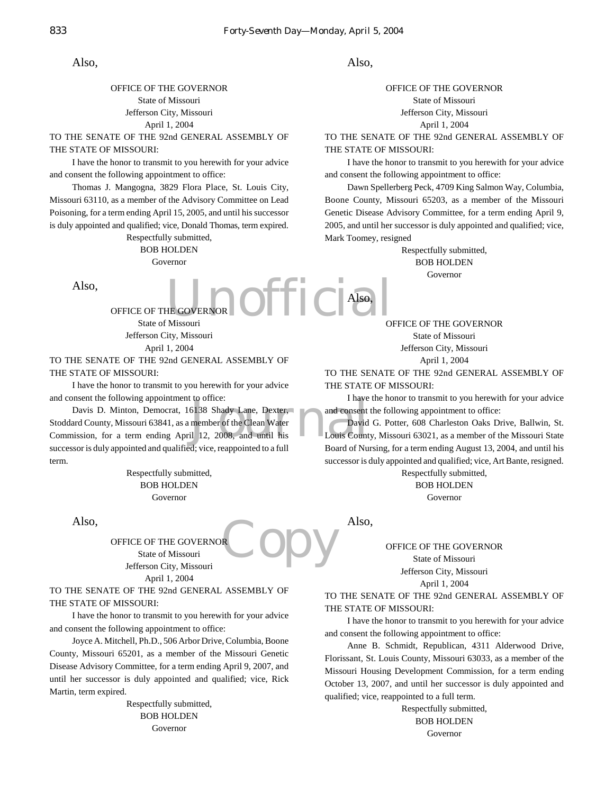Also,

OFFICE OF THE GOVERNOR State of Missouri Jefferson City, Missouri April 1, 2004

TO THE SENATE OF THE 92nd GENERAL ASSEMBLY OF THE STATE OF MISSOURI:

I have the honor to transmit to you herewith for your advice and consent the following appointment to office:

Thomas J. Mangogna, 3829 Flora Place, St. Louis City, Missouri 63110, as a member of the Advisory Committee on Lead Poisoning, for a term ending April 15, 2005, and until his successor is duly appointed and qualified; vice, Donald Thomas, term expired.

> Respectfully submitted, BOB HOLDEN Governor

Also,

HE GOVERNOR Official OFFICE OF THE GOVERNOR State of Missouri Jefferson City, Missouri April 1, 2004

TO THE SENATE OF THE 92nd GENERAL ASSEMBLY OF THE STATE OF MISSOURI:

I have the honor to transmit to you herewith for your advice and consent the following appointment to office:

and consent the following appointment to office:<br>
Davis D. Minton, Democrat, 16138 Shady Lane, Dexter,<br>
Stoddard County, Missouri 63841, as a member of the Clean Water<br>
Commission, for a term ending April 12, 2008, and unt Davis D. Minton, Democrat, 16138 Shady Lane, Dexter, Stoddard County, Missouri 63841, as a member of the Clean Water successor is duly appointed and qualified; vice, reappointed to a full term.

> Respectfully submitted, BOB HOLDEN Governor

Also,

**Copy** OFFICE OF THE GOVERNOR State of Missouri Jefferson City, Missouri April 1, 2004

TO THE SENATE OF THE 92nd GENERAL ASSEMBLY OF THE STATE OF MISSOURI:

I have the honor to transmit to you herewith for your advice and consent the following appointment to office:

Joyce A. Mitchell, Ph.D., 506 Arbor Drive, Columbia, Boone County, Missouri 65201, as a member of the Missouri Genetic Disease Advisory Committee, for a term ending April 9, 2007, and until her successor is duly appointed and qualified; vice, Rick Martin, term expired.

> Respectfully submitted, BOB HOLDEN Governor

Also,

OFFICE OF THE GOVERNOR State of Missouri Jefferson City, Missouri April 1, 2004

TO THE SENATE OF THE 92nd GENERAL ASSEMBLY OF THE STATE OF MISSOURI:

I have the honor to transmit to you herewith for your advice and consent the following appointment to office:

Dawn Spellerberg Peck, 4709 King Salmon Way, Columbia, Boone County, Missouri 65203, as a member of the Missouri Genetic Disease Advisory Committee, for a term ending April 9, 2005, and until her successor is duly appointed and qualified; vice, Mark Toomey, resigned

> Respectfully submitted, BOB HOLDEN Governor

OFFICE OF THE GOVERNOR State of Missouri Jefferson City, Missouri April 1, 2004

TO THE SENATE OF THE 92nd GENERAL ASSEMBLY OF THE STATE OF MISSOURI:

I have the honor to transmit to you herewith for your advice and consent the following appointment to office:

David G. Potter, 608 Charleston Oaks Drive, Ballwin, St. Louis County, Missouri 63021, as a member of the Missouri State Board of Nursing, for a term ending August 13, 2004, and until his successor is duly appointed and qualified; vice, Art Bante, resigned. Respectfully submitted,

BOB HOLDEN Governor

Also,

Also,

OFFICE OF THE GOVERNOR State of Missouri Jefferson City, Missouri April 1, 2004

TO THE SENATE OF THE 92nd GENERAL ASSEMBLY OF THE STATE OF MISSOURI:

I have the honor to transmit to you herewith for your advice and consent the following appointment to office:

Anne B. Schmidt, Republican, 4311 Alderwood Drive, Florissant, St. Louis County, Missouri 63033, as a member of the Missouri Housing Development Commission, for a term ending October 13, 2007, and until her successor is duly appointed and qualified; vice, reappointed to a full term.

> Respectfully submitted, BOB HOLDEN Governor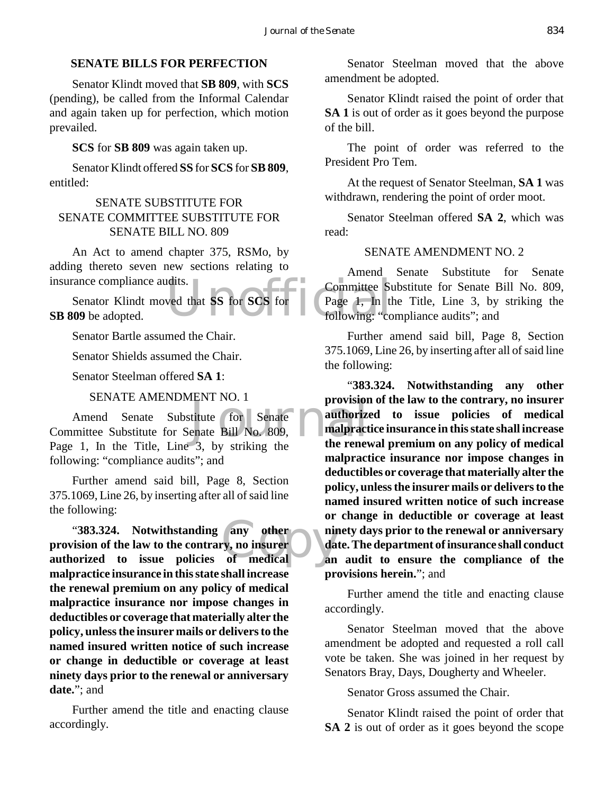#### **SENATE BILLS FOR PERFECTION**

Senator Klindt moved that **SB 809**, with **SCS** (pending), be called from the Informal Calendar and again taken up for perfection, which motion prevailed.

#### **SCS** for **SB 809** was again taken up.

Senator Klindt offered **SS** for **SCS** for **SB 809**, entitled:

#### SENATE SUBSTITUTE FOR SENATE COMMITTEE SUBSTITUTE FOR SENATE BILL NO. 809

An Act to amend chapter 375, RSMo, by adding thereto seven new sections relating to insurance compliance audits.

The Section of the Section of the Section of the Section of the Section of the Section of the Section of the Section of the Section of the Section of the Section of the Section of the Section of the Section of the Section Senator Klindt moved that **SS** for **SCS** for **SB 809** be adopted.

Senator Bartle assumed the Chair.

Senator Shields assumed the Chair.

Senator Steelman offered **SA 1**:

#### SENATE AMENDMENT NO. 1

FINT NO. 1<br>titute for Senate<br>enate Bill No. 809,<br>a by striking the the renew Amend Senate Substitute for Senate Committee Substitute for Senate Bill No. 809, Page 1, In the Title, Line 3, by striking the following: "compliance audits"; and

Further amend said bill, Page 8, Section 375.1069, Line 26, by inserting after all of said line the following:

"**383.324.** Notwithstanding any other nine ision of the law to the contrary, no insurer day orized to issue policies of medical an **provision of the law to the contrary, no insurer authorized to issue policies of medical malpractice insurance in this state shall increase the renewal premium on any policy of medical malpractice insurance nor impose changes in deductibles or coverage that materially alter the policy, unless the insurer mails or delivers to the named insured written notice of such increase or change in deductible or coverage at least ninety days prior to the renewal or anniversary date.**"; and

Further amend the title and enacting clause accordingly.

Senator Steelman moved that the above amendment be adopted.

Senator Klindt raised the point of order that **SA 1** is out of order as it goes beyond the purpose of the bill.

The point of order was referred to the President Pro Tem.

At the request of Senator Steelman, **SA 1** was withdrawn, rendering the point of order moot.

Senator Steelman offered **SA 2**, which was read:

#### SENATE AMENDMENT NO. 2

Amend Senate Substitute for Senate Committee Substitute for Senate Bill No. 809, Page 1, In the Title, Line 3, by striking the following: "compliance audits"; and

Further amend said bill, Page 8, Section 375.1069, Line 26, by inserting after all of said line the following:

"**383.324. Notwithstanding any other provision of the law to the contrary, no insurer authorized to issue policies of medical malpractice insurance in this state shall increase the renewal premium on any policy of medical malpractice insurance nor impose changes in deductibles or coverage that materially alter the policy, unless the insurer mails or delivers to the named insured written notice of such increase or change in deductible or coverage at least ninety days prior to the renewal or anniversary date. The department of insurance shall conduct an audit to ensure the compliance of the provisions herein.**"; and

Further amend the title and enacting clause accordingly.

Senator Steelman moved that the above amendment be adopted and requested a roll call vote be taken. She was joined in her request by Senators Bray, Days, Dougherty and Wheeler.

Senator Gross assumed the Chair.

Senator Klindt raised the point of order that **SA 2** is out of order as it goes beyond the scope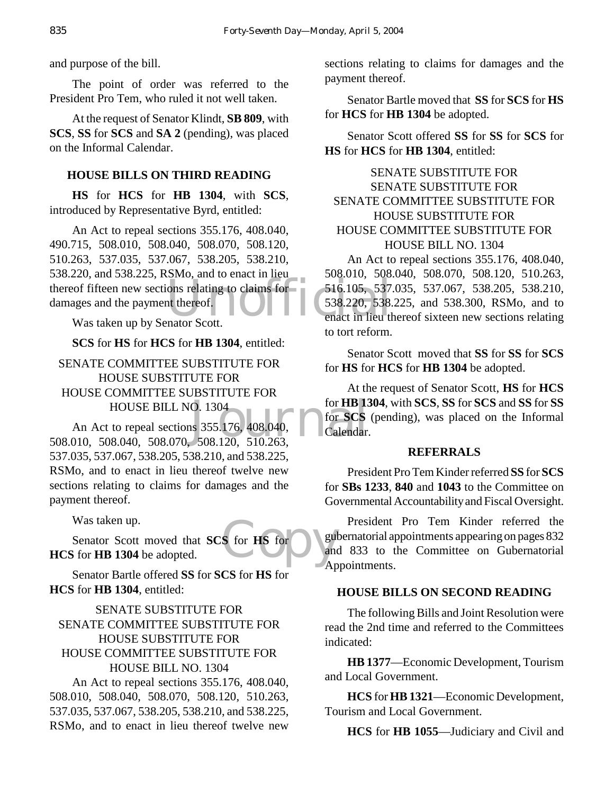and purpose of the bill.

The point of order was referred to the President Pro Tem, who ruled it not well taken.

At the request of Senator Klindt, **SB 809**, with **SCS**, **SS** for **SCS** and **SA 2** (pending), was placed on the Informal Calendar.

## **HOUSE BILLS ON THIRD READING**

**HS** for **HCS** for **HB 1304**, with **SCS**, introduced by Representative Byrd, entitled:

thereof fifteen new sections relating to claims for 516.105, 537<br>
damages and the payment thereof. 538.220, 538.<br>
Was taken up by Senator Scott. An Act to repeal sections 355.176, 408.040, 490.715, 508.010, 508.040, 508.070, 508.120, 510.263, 537.035, 537.067, 538.205, 538.210, 538.220, and 538.225, RSMo, and to enact in lieu damages and the payment thereof.

Was taken up by Senator Scott.

## **SCS** for **HS** for **HCS** for **HB 1304**, entitled:

## SENATE COMMITTEE SUBSTITUTE FOR HOUSE SUBSTITUTE FOR HOUSE COMMITTEE SUBSTITUTE FOR HOUSE BILL NO. 1304

O. 1304<br>
18 355.176, 408.040,<br>
508.120, 510.263,<br>
508.120, 510.263, An Act to repeal sections 355.176, 408.040, 508.010, 508.040, 508.070, 508.120, 510.263, 537.035, 537.067, 538.205, 538.210, and 538.225, RSMo, and to enact in lieu thereof twelve new sections relating to claims for damages and the payment thereof.

Was taken up.

S for HS for and and Senator Scott moved that **SCS** for **HS** for **HCS** for **HB 1304** be adopted.

Senator Bartle offered **SS** for **SCS** for **HS** for **HCS** for **HB 1304**, entitled:

## SENATE SUBSTITUTE FOR SENATE COMMITTEE SUBSTITUTE FOR HOUSE SUBSTITUTE FOR HOUSE COMMITTEE SUBSTITUTE FOR HOUSE BILL NO. 1304

An Act to repeal sections 355.176, 408.040, 508.010, 508.040, 508.070, 508.120, 510.263, 537.035, 537.067, 538.205, 538.210, and 538.225, RSMo, and to enact in lieu thereof twelve new sections relating to claims for damages and the payment thereof.

Senator Bartle moved that **SS** for **SCS** for **HS** for **HCS** for **HB 1304** be adopted.

Senator Scott offered **SS** for **SS** for **SCS** for **HS** for **HCS** for **HB 1304**, entitled:

## SENATE SUBSTITUTE FOR SENATE SUBSTITUTE FOR SENATE COMMITTEE SUBSTITUTE FOR HOUSE SUBSTITUTE FOR HOUSE COMMITTEE SUBSTITUTE FOR HOUSE BILL NO. 1304

An Act to repeal sections 355.176, 408.040, 508.010, 508.040, 508.070, 508.120, 510.263, 516.105, 537.035, 537.067, 538.205, 538.210, 538.220, 538.225, and 538.300, RSMo, and to enact in lieu thereof sixteen new sections relating to tort reform.

Senator Scott moved that **SS** for **SS** for **SCS** for **HS** for **HCS** for **HB 1304** be adopted.

At the request of Senator Scott, **HS** for **HCS** for **HB 1304**, with **SCS**, **SS** for **SCS** and **SS** for **SS** for **SCS** (pending), was placed on the Informal Calendar.

## **REFERRALS**

President Pro Tem Kinder referred **SS** for **SCS** for **SBs 1233**, **840** and **1043** to the Committee on Governmental Accountability and Fiscal Oversight.

President Pro Tem Kinder referred the gubernatorial appointments appearing on pages 832 and 833 to the Committee on Gubernatorial Appointments.

## **HOUSE BILLS ON SECOND READING**

The following Bills and Joint Resolution were read the 2nd time and referred to the Committees indicated:

**HB 1377**—Economic Development, Tourism and Local Government.

**HCS** for **HB 1321**—Economic Development, Tourism and Local Government.

**HCS** for **HB 1055**—Judiciary and Civil and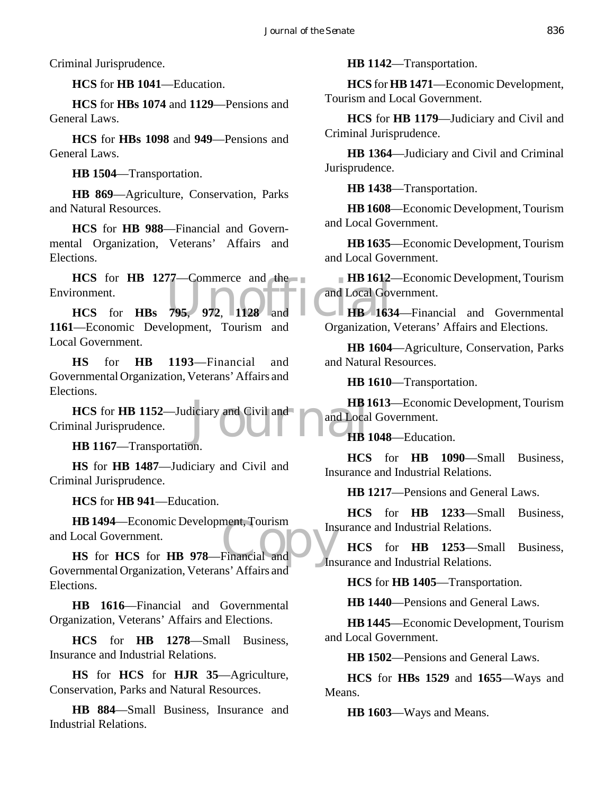Criminal Jurisprudence.

**HCS** for **HB 1041**—Education.

**HCS** for **HBs 1074** and **1129**—Pensions and General Laws.

**HCS** for **HBs 1098** and **949**—Pensions and General Laws.

**HB 1504**—Transportation.

**HB 869**—Agriculture, Conservation, Parks and Natural Resources.

**HCS** for **HB 988**—Financial and Governmental Organization, Veterans' Affairs and Elections.

HCS for HB 1277—Commerce and the HB 1612-<br>
ronment.<br>
HCS for HBs 795, 972, 1128 and Local Government<br>
Features Development, Teurism, and Organization Environment.

**HCS** for **HBs 795**, **972**, **1128** and **1161**—Economic Development, Tourism and Local Government.

**HS** for **HB 1193**—Financial and Governmental Organization, Veterans' Affairs and Elections.

HB1<br>liciary and Civil and<br>HB1 **HCS** for **HB 1152**—Judiciary and Civil and Criminal Jurisprudence.

**HB 1167**—Transportation.

**HS** for **HB 1487**—Judiciary and Civil and Criminal Jurisprudence.

**HCS** for **HB 941**—Education.

**HB 1494**—Economic Development, Tourism<br>
Local Government.<br> **HS** for **HCS** for **HB 978**—Financial and Ins **HB 1494**—Economic Development, Tourism and Local Government.

Governmental Organization, Veterans' Affairs and Elections.

**HB 1616**—Financial and Governmental Organization, Veterans' Affairs and Elections.

**HCS** for **HB 1278**—Small Business, Insurance and Industrial Relations.

**HS** for **HCS** for **HJR 35**—Agriculture, Conservation, Parks and Natural Resources.

**HB 884**—Small Business, Insurance and Industrial Relations.

**HB 1142**—Transportation.

**HCS** for **HB 1471**—Economic Development, Tourism and Local Government.

**HCS** for **HB 1179**—Judiciary and Civil and Criminal Jurisprudence.

**HB 1364**—Judiciary and Civil and Criminal Jurisprudence.

**HB 1438**—Transportation.

**HB 1608**—Economic Development, Tourism and Local Government.

**HB 1635**—Economic Development, Tourism and Local Government.

**HB 1612**—Economic Development, Tourism and Local Government.

**HB 1634**—Financial and Governmental Organization, Veterans' Affairs and Elections.

**HB 1604**—Agriculture, Conservation, Parks and Natural Resources.

**HB 1610**—Transportation.

**HB 1613**—Economic Development, Tourism and Local Government.

**HB 1048**—Education.

**HCS** for **HB 1090**—Small Business, Insurance and Industrial Relations.

**HB 1217**—Pensions and General Laws.

**HCS** for **HB 1233**—Small Business, Insurance and Industrial Relations.

**HCS** for **HB 1253**—Small Business, Insurance and Industrial Relations.

**HCS** for **HB 1405**—Transportation.

**HB 1440**—Pensions and General Laws.

**HB 1445**—Economic Development, Tourism and Local Government.

**HB 1502**—Pensions and General Laws.

**HCS** for **HBs 1529** and **1655**—Ways and Means.

**HB 1603**—Ways and Means.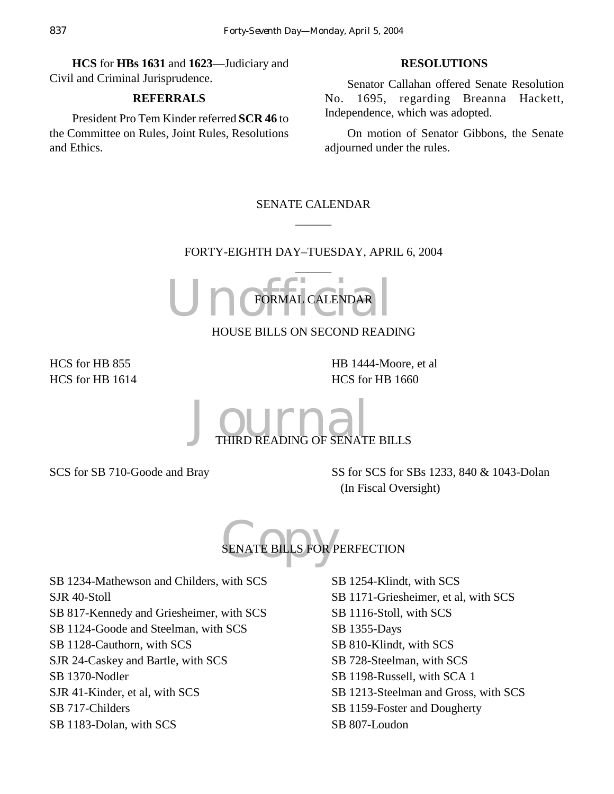**HCS** for **HBs 1631** and **1623**—Judiciary and Civil and Criminal Jurisprudence.

#### **REFERRALS**

President Pro Tem Kinder referred **SCR 46** to the Committee on Rules, Joint Rules, Resolutions and Ethics.

## **RESOLUTIONS**

Senator Callahan offered Senate Resolution No. 1695, regarding Breanna Hackett, Independence, which was adopted.

On motion of Senator Gibbons, the Senate adjourned under the rules.

## SENATE CALENDAR  $\overline{\phantom{a}}$

## FORTY-EIGHTH DAY–TUESDAY, APRIL 6, 2004  $\overline{\phantom{a}}$

Un CFORMAL CALENDAR FORMAL CALENDAR

HOUSE BILLS ON SECOND READING

HCS for HB 855 HCS for HB 1614 HB 1444-Moore, et al HCS for HB 1660



SCS for SB 710-Goode and Bray SS for SCS for SBs 1233, 840 & 1043-Dolan (In Fiscal Oversight)

SENATE BILLS FOR P SENATE BILLS FOR PERFECTION

SB 1234-Mathewson and Childers, with SCS SJR 40-Stoll SB 817-Kennedy and Griesheimer, with SCS SB 1124-Goode and Steelman, with SCS SB 1128-Cauthorn, with SCS SJR 24-Caskey and Bartle, with SCS SB 1370-Nodler SJR 41-Kinder, et al, with SCS SB 717-Childers SB 1183-Dolan, with SCS

SB 1254-Klindt, with SCS SB 1171-Griesheimer, et al, with SCS SB 1116-Stoll, with SCS SB 1355-Days SB 810-Klindt, with SCS SB 728-Steelman, with SCS SB 1198-Russell, with SCA 1 SB 1213-Steelman and Gross, with SCS SB 1159-Foster and Dougherty SB 807-Loudon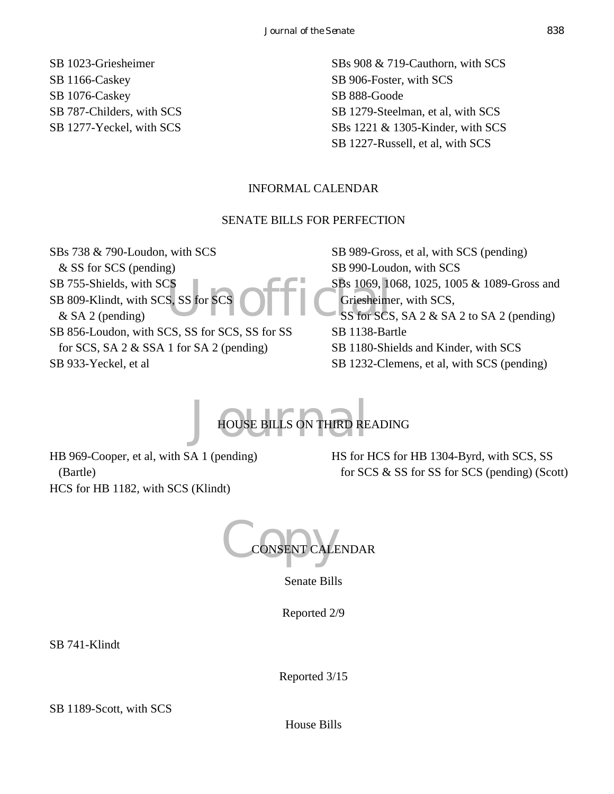SB 1023-Griesheimer SB 1166-Caskey SB 1076-Caskey SB 787-Childers, with SCS SB 1277-Yeckel, with SCS SBs 908 & 719-Cauthorn, with SCS SB 906-Foster, with SCS SB 888-Goode SB 1279-Steelman, et al, with SCS SBs 1221 & 1305-Kinder, with SCS SB 1227-Russell, et al, with SCS

## INFORMAL CALENDAR

#### SENATE BILLS FOR PERFECTION

SS SS for SCS 1069, 10 SBs 738 & 790-Loudon, with SCS & SS for SCS (pending) SB 755-Shields, with SCS SB 809-Klindt, with SCS, SS for SCS & SA 2 (pending) SB 856-Loudon, with SCS, SS for SCS, SS for SS for SCS, SA 2 & SSA 1 for SA 2 (pending) SB 933-Yeckel, et al

SB 989-Gross, et al, with SCS (pending) SB 990-Loudon, with SCS SBs 1069, 1068, 1025, 1005 & 1089-Gross and Griesheimer, with SCS, SS for SCS, SA 2 & SA 2 to SA 2 (pending) SB 1138-Bartle SB 1180-Shields and Kinder, with SCS SB 1232-Clemens, et al, with SCS (pending)

## HOUSE BILLS ON THIRD RE HOUSE BILLS ON THIRD READING

HB 969-Cooper, et al, with SA 1 (pending) (Bartle) HCS for HB 1182, with SCS (Klindt)

HS for HCS for HB 1304-Byrd, with SCS, SS for SCS & SS for SS for SCS (pending) (Scott)

CONSENT CALE ALENDAR

Senate Bills

Reported 2/9

SB 741-Klindt

Reported 3/15

SB 1189-Scott, with SCS

House Bills